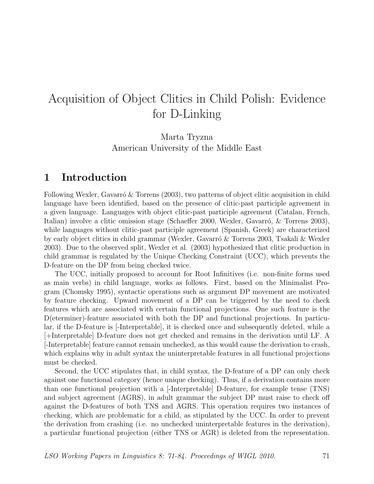# Acquisition of Object Clitics in Child Polish: Evidence for D-Linking

Marta Tryzna American University of the Middle East

## 1 Introduction

Following Wexler, Gavarró & Torrens  $(2003)$ , two patterns of object clitic acquisition in child language have been identified, based on the presence of clitic-past participle agreement in a given language. Languages with object clitic-past participle agreement (Catalan, French, Italian) involve a clitic omission stage (Schaeffer 2000, Wexler, Gavarró, & Torrens 2003), while languages without clitic-past participle agreement (Spanish, Greek) are characterized by early object clitics in child grammar (Wexler, Gavarro & Torrens 2003, Tsakali & Wexler 2003). Due to the observed split, Wexler et al. (2003) hypothesized that clitic production in child grammar is regulated by the Unique Checking Constraint (UCC), which prevents the D-feature on the DP from being checked twice.

The UCC, initially proposed to account for Root Infinitives (i.e. non-finite forms used as main verbs) in child language, works as follows. First, based on the Minimalist Program (Chomsky 1995), syntactic operations such as argument DP movement are motivated by feature checking. Upward movement of a DP can be triggered by the need to check features which are associated with certain functional projections. One such feature is the D(eterminer)-feature associated with both the DP and functional projections. In particular, if the D-feature is [-Interpretable], it is checked once and subsequently deleted, while a [+Interpretable] D-feature does not get checked and remains in the derivation until LF. A [-Interpretable] feature cannot remain unchecked, as this would cause the derivation to crash, which explains why in adult syntax the uninterpretable features in all functional projections must be checked.

Second, the UCC stipulates that, in child syntax, the D-feature of a DP can only check against one functional category (hence unique checking). Thus, if a derivation contains more than one functional projection with a [-Interpretable] D-feature, for example tense (TNS) and subject agreement (AGRS), in adult grammar the subject DP must raise to check off against the D-features of both TNS and AGRS. This operation requires two instances of checking, which are problematic for a child, as stipulated by the UCC. In order to prevent the derivation from crashing (i.e. no unchecked uninterpretable features in the derivation), a particular functional projection (either TNS or AGR) is deleted from the representation.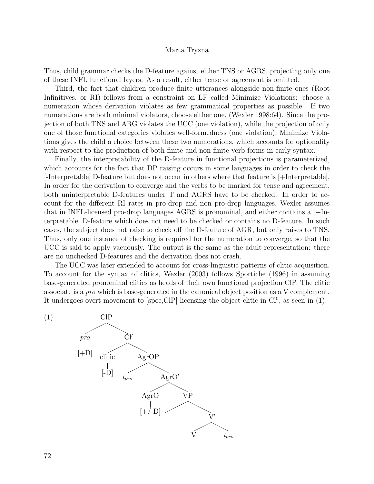Thus, child grammar checks the D-feature against either TNS or AGRS, projecting only one of these INFL functional layers. As a result, either tense or agreement is omitted.

Third, the fact that children produce finite utterances alongside non-finite ones (Root Infinitives, or RI) follows from a constraint on LF called Minimize Violations: choose a numeration whose derivation violates as few grammatical properties as possible. If two numerations are both minimal violators, choose either one. (Wexler 1998:64). Since the projection of both TNS and ARG violates the UCC (one violation), while the projection of only one of those functional categories violates well-formedness (one violation), Minimize Violations gives the child a choice between these two numerations, which accounts for optionality with respect to the production of both finite and non-finite verb forms in early syntax.

Finally, the interpretability of the D-feature in functional projections is parameterized, which accounts for the fact that DP raising occurs in some languages in order to check the [-Interpretable] D-feature but does not occur in others where that feature is [+Interpretable]. In order for the derivation to converge and the verbs to be marked for tense and agreement, both uninterpretable D-features under T and AGRS have to be checked. In order to account for the different RI rates in pro-drop and non pro-drop languages, Wexler assumes that in INFL-licensed pro-drop languages AGRS is pronominal, and either contains a [+Interpretable] D-feature which does not need to be checked or contains no D-feature. In such cases, the subject does not raise to check off the D-feature of AGR, but only raises to TNS. Thus, only one instance of checking is required for the numeration to converge, so that the UCC is said to apply vacuously. The output is the same as the adult representation: there are no unchecked D-features and the derivation does not crash.

The UCC was later extended to account for cross-linguistic patterns of clitic acquisition. To account for the syntax of clitics, Wexler (2003) follows Sportiche (1996) in assuming base-generated pronominal clitics as heads of their own functional projection ClP. The clitic associate is a pro which is base-generated in the canonical object position as a V complement. It undergoes overt movement to  $[spec, CIP]$  licensing the object clitic in  $Cl<sup>0</sup>$ , as seen in (1):

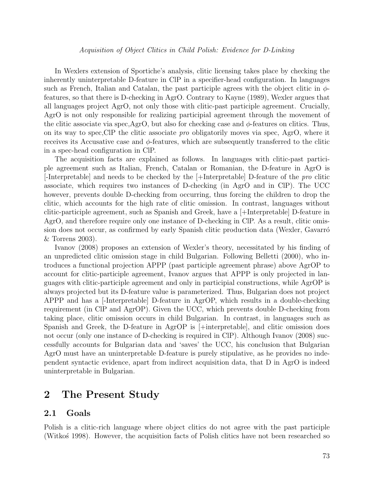#### Acquisition of Object Clitics in Child Polish: Evidence for D-Linking

In Wexlers extension of Sportiche's analysis, clitic licensing takes place by checking the inherently uninterpretable D-feature in ClP in a specifier-head configuration. In languages such as French, Italian and Catalan, the past participle agrees with the object clitic in  $\phi$ features, so that there is D-checking in AgrO. Contrary to Kayne (1989), Wexler argues that all languages project AgrO, not only those with clitic-past participle agreement. Crucially, AgrO is not only responsible for realizing participial agreement through the movement of the clitic associate via spec,AgrO, but also for checking case and  $\phi$ -features on clitics. Thus, on its way to spec,ClP the clitic associate pro obligatorily moves via spec, AgrO, where it receives its Accusative case and  $\phi$ -features, which are subsequently transferred to the clitic in a spec-head configuration in ClP.

The acquisition facts are explained as follows. In languages with clitic-past participle agreement such as Italian, French, Catalan or Romanian, the D-feature in AgrO is  $|\text{-Interpretable}|$  and needs to be checked by the  $|\text{+Interpretable}|$  D-feature of the pro clitic associate, which requires two instances of D-checking (in AgrO and in ClP). The UCC however, prevents double D-checking from occurring, thus forcing the children to drop the clitic, which accounts for the high rate of clitic omission. In contrast, languages without clitic-participle agreement, such as Spanish and Greek, have a [+Interpretable] D-feature in AgrO, and therefore require only one instance of D-checking in ClP. As a result, clitic omission does not occur, as confirmed by early Spanish clitic production data (Wexler, Gavarró & Torrens 2003).

Ivanov (2008) proposes an extension of Wexler's theory, necessitated by his finding of an unpredicted clitic omission stage in child Bulgarian. Following Belletti (2000), who introduces a functional projection APPP (past participle agreement phrase) above AgrOP to account for clitic-participle agreement, Ivanov argues that APPP is only projected in languages with clitic-participle agreement and only in participial constructions, while AgrOP is always projected but its D-feature value is parameterized. Thus, Bulgarian does not project APPP and has a [-Interpretable] D-feature in AgrOP, which results in a double-checking requirement (in ClP and AgrOP). Given the UCC, which prevents double D-checking from taking place, clitic omission occurs in child Bulgarian. In contrast, in languages such as Spanish and Greek, the D-feature in AgrOP is [+interpretable], and clitic omission does not occur (only one instance of D-checking is required in ClP). Although Ivanov (2008) successfully accounts for Bulgarian data and 'saves' the UCC, his conclusion that Bulgarian AgrO must have an uninterpretable D-feature is purely stipulative, as he provides no independent syntactic evidence, apart from indirect acquisition data, that D in AgrO is indeed uninterpretable in Bulgarian.

## 2 The Present Study

## 2.1 Goals

Polish is a clitic-rich language where object clitics do not agree with the past participle (Witko's 1998). However, the acquisition facts of Polish clitics have not been researched so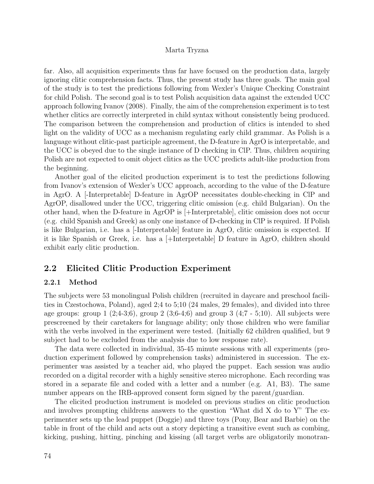far. Also, all acquisition experiments thus far have focused on the production data, largely ignoring clitic comprehension facts. Thus, the present study has three goals. The main goal of the study is to test the predictions following from Wexler's Unique Checking Constraint for child Polish. The second goal is to test Polish acquisition data against the extended UCC approach following Ivanov (2008). Finally, the aim of the comprehension experiment is to test whether clitics are correctly interpreted in child syntax without consistently being produced. The comparison between the comprehension and production of clitics is intended to shed light on the validity of UCC as a mechanism regulating early child grammar. As Polish is a language without clitic-past participle agreement, the D-feature in AgrO is interpretable, and the UCC is obeyed due to the single instance of D checking in ClP. Thus, children acquiring Polish are not expected to omit object clitics as the UCC predicts adult-like production from the beginning.

Another goal of the elicited production experiment is to test the predictions following from Ivanov's extension of Wexler's UCC approach, according to the value of the D-feature in AgrO. A [-Interpretable] D-feature in AgrOP necessitates double-checking in ClP and AgrOP, disallowed under the UCC, triggering clitic omission (e.g. child Bulgarian). On the other hand, when the D-feature in AgrOP is [+Interpretable], clitic omission does not occur (e.g. child Spanish and Greek) as only one instance of D-checking in ClP is required. If Polish is like Bulgarian, i.e. has a [-Interpretable] feature in AgrO, clitic omission is expected. If it is like Spanish or Greek, i.e. has a [+Interpretable] D feature in AgrO, children should exhibit early clitic production.

## 2.2 Elicited Clitic Production Experiment

## 2.2.1 Method

The subjects were 53 monolingual Polish children (recruited in daycare and preschool facilities in Czestochowa, Poland), aged 2;4 to 5;10 (24 males, 29 females), and divided into three age groups: group  $1$   $(2,4-3,6)$ , group  $2$   $(3,6-4,6)$  and group  $3$   $(4,7-5,10)$ . All subjects were prescreened by their caretakers for language ability; only those children who were familiar with the verbs involved in the experiment were tested. (Initially 62 children qualified, but 9 subject had to be excluded from the analysis due to low response rate).

The data were collected in individual, 35-45 minute sessions with all experiments (production experiment followed by comprehension tasks) administered in succession. The experimenter was assisted by a teacher aid, who played the puppet. Each session was audio recorded on a digital recorder with a highly sensitive stereo microphone. Each recording was stored in a separate file and coded with a letter and a number (e.g. A1, B3). The same number appears on the IRB-approved consent form signed by the parent/guardian.

The elicited production instrument is modeled on previous studies on clitic production and involves prompting childrens answers to the question "What did X do to Y" The experimenter sets up the lead puppet (Doggie) and three toys (Pony, Bear and Barbie) on the table in front of the child and acts out a story depicting a transitive event such as combing, kicking, pushing, hitting, pinching and kissing (all target verbs are obligatorily monotran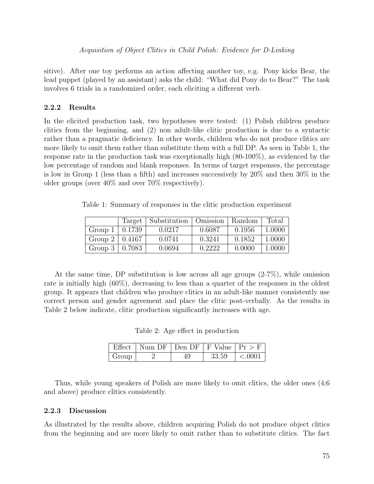Acquisition of Object Clitics in Child Polish: Evidence for D-Linking

sitive). After one toy performs an action affecting another toy, e.g. Pony kicks Bear, the lead puppet (played by an assistant) asks the child: "What did Pony do to Bear?" The task involves 6 trials in a randomized order, each eliciting a different verb.

## 2.2.2 Results

In the elicited production task, two hypotheses were tested: (1) Polish children produce clitics from the beginning, and (2) non adult-like clitic production is due to a syntactic rather than a pragmatic deficiency. In other words, children who do not produce clitics are more likely to omit them rather than substitute them with a full DP. As seen in Table 1, the response rate in the production task was exceptionally high (80-100%), as evidenced by the low percentage of random and blank responses. In terms of target responses, the percentage is low in Group 1 (less than a fifth) and increases successively by 20% and then 30% in the older groups (over 40% and over 70% respectively).

Table 1: Summary of responses in the clitic production experiment

|                       |        | Target   Substitution   Omission   Random |        |        | Total  |
|-----------------------|--------|-------------------------------------------|--------|--------|--------|
| Group 1               | 0.1739 | 0.0217                                    | 0.6087 | 0.1956 | 1.0000 |
| Group $2 \mid 0.4167$ |        | 0.0741                                    | 0.3241 | 0.1852 | 1.0000 |
| Group $3 \mid 0.7083$ |        | 0.0694                                    | 0.2222 | 0.0000 | 1.0000 |

At the same time, DP substitution is low across all age groups (2-7%), while omission rate is initially high (60%), decreasing to less than a quarter of the responses in the oldest group. It appears that children who produce clitics in an adult-like manner consistently use correct person and gender agreement and place the clitic post-verbally. As the results in Table 2 below indicate, clitic production significantly increases with age.

Table 2: Age effect in production

|       | Effect   Num DF   Den DF   F Value   $Pr > F$ |       |                |
|-------|-----------------------------------------------|-------|----------------|
| Group |                                               | 33.59 | $\vert$ <.0001 |

Thus, while young speakers of Polish are more likely to omit clitics, the older ones (4;6 and above) produce clitics consistently.

#### 2.2.3 Discussion

As illustrated by the results above, children acquiring Polish do not produce object clitics from the beginning and are more likely to omit rather than to substitute clitics. The fact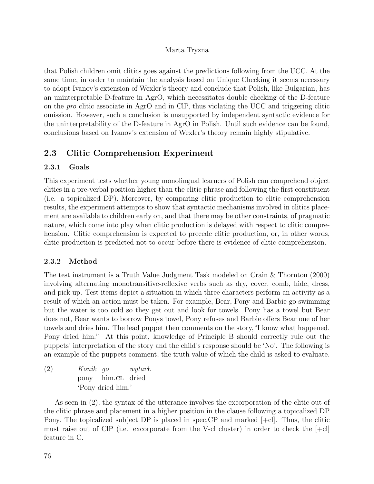that Polish children omit clitics goes against the predictions following from the UCC. At the same time, in order to maintain the analysis based on Unique Checking it seems necessary to adopt Ivanov's extension of Wexler's theory and conclude that Polish, like Bulgarian, has an uninterpretable D-feature in AgrO, which necessitates double checking of the D-feature on the pro clitic associate in AgrO and in ClP, thus violating the UCC and triggering clitic omission. However, such a conclusion is unsupported by independent syntactic evidence for the uninterpretability of the D-feature in AgrO in Polish. Until such evidence can be found, conclusions based on Ivanov's extension of Wexler's theory remain highly stipulative.

## 2.3 Clitic Comprehension Experiment

## 2.3.1 Goals

This experiment tests whether young monolingual learners of Polish can comprehend object clitics in a pre-verbal position higher than the clitic phrase and following the first constituent (i.e. a topicalized DP). Moreover, by comparing clitic production to clitic comprehension results, the experiment attempts to show that syntactic mechanisms involved in clitics placement are available to children early on, and that there may be other constraints, of pragmatic nature, which come into play when clitic production is delayed with respect to clitic comprehension. Clitic comprehension is expected to precede clitic production, or, in other words, clitic production is predicted not to occur before there is evidence of clitic comprehension.

## 2.3.2 Method

The test instrument is a Truth Value Judgment Task modeled on Crain & Thornton (2000) involving alternating monotransitive-reflexive verbs such as dry, cover, comb, hide, dress, and pick up. Test items depict a situation in which three characters perform an activity as a result of which an action must be taken. For example, Bear, Pony and Barbie go swimming but the water is too cold so they get out and look for towels. Pony has a towel but Bear does not, Bear wants to borrow Ponys towel, Pony refuses and Barbie offers Bear one of her towels and dries him. The lead puppet then comments on the story,"I know what happened. Pony dried him." At this point, knowledge of Principle B should correctly rule out the puppets' interpretation of the story and the child's response should be 'No'. The following is an example of the puppets comment, the truth value of which the child is asked to evaluate.

(2) Konik go pony him.cL dried wytarì. 'Pony dried him.'

As seen in (2), the syntax of the utterance involves the excorporation of the clitic out of the clitic phrase and placement in a higher position in the clause following a topicalized DP Pony. The topicalized subject DP is placed in spec,CP and marked [+cl]. Thus, the clitic must raise out of ClP (i.e. excorporate from the V-cl cluster) in order to check the [+cl] feature in C.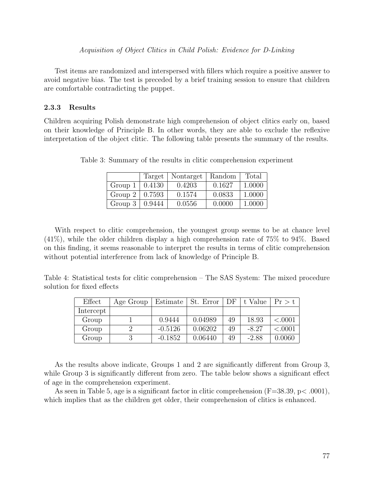Acquisition of Object Clitics in Child Polish: Evidence for D-Linking

Test items are randomized and interspersed with fillers which require a positive answer to avoid negative bias. The test is preceded by a brief training session to ensure that children are comfortable contradicting the puppet.

### 2.3.3 Results

Children acquiring Polish demonstrate high comprehension of object clitics early on, based on their knowledge of Principle B. In other words, they are able to exclude the reflexive interpretation of the object clitic. The following table presents the summary of the results.

|                       | Target | Nontarget | Random | Total  |
|-----------------------|--------|-----------|--------|--------|
| Group 1               | 0.4130 | 0.4203    | 0.1627 | 1.0000 |
| Group $2 \mid 0.7593$ |        | 0.1574    | 0.0833 | 1.0000 |
| Group $3 \mid$        | 0.9444 | 0.0556    | 0.0000 | 1.0000 |

Table 3: Summary of the results in clitic comprehension experiment

With respect to clitic comprehension, the youngest group seems to be at chance level (41%), while the older children display a high comprehension rate of 75% to 94%. Based on this finding, it seems reasonable to interpret the results in terms of clitic comprehension without potential interference from lack of knowledge of Principle B.

Table 4: Statistical tests for clitic comprehension – The SAS System: The mixed procedure solution for fixed effects

| Effect    | Age Group | Estimate  | St. Error | DF | t Value | Pr > t  |
|-----------|-----------|-----------|-----------|----|---------|---------|
| Intercept |           |           |           |    |         |         |
| Group     |           | 0.9444    | 0.04989   | 49 | 18.93   | < .0001 |
| Group     |           | $-0.5126$ | 0.06202   | 49 | $-8.27$ | < .0001 |
| Group     |           | $-0.1852$ | 0.06440   | 49 | $-2.88$ | 0.0060  |

As the results above indicate, Groups 1 and 2 are significantly different from Group 3, while Group 3 is significantly different from zero. The table below shows a significant effect of age in the comprehension experiment.

As seen in Table 5, age is a significant factor in clitic comprehension  $(F=38.39, p<.0001)$ , which implies that as the children get older, their comprehension of clitics is enhanced.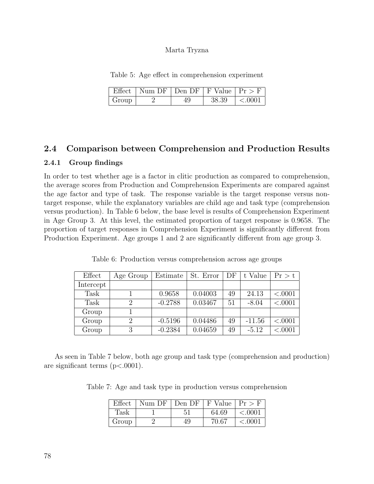Table 5: Age effect in comprehension experiment

|       | Effect   Num DF   Den DF   F Value   $Pr > F$ |       |        |
|-------|-----------------------------------------------|-------|--------|
| Group |                                               | 38.39 | < 0001 |

## 2.4 Comparison between Comprehension and Production Results

## 2.4.1 Group findings

In order to test whether age is a factor in clitic production as compared to comprehension, the average scores from Production and Comprehension Experiments are compared against the age factor and type of task. The response variable is the target response versus nontarget response, while the explanatory variables are child age and task type (comprehension versus production). In Table 6 below, the base level is results of Comprehension Experiment in Age Group 3. At this level, the estimated proportion of target response is 0.9658. The proportion of target responses in Comprehension Experiment is significantly different from Production Experiment. Age groups 1 and 2 are significantly different from age group 3.

| Effect    | Age Group                   | Estimate  | St. Error | DF | t Value  | Pr > t  |
|-----------|-----------------------------|-----------|-----------|----|----------|---------|
| Intercept |                             |           |           |    |          |         |
| Task      |                             | 0.9658    | 0.04003   | 49 | 24.13    | < .0001 |
| Task      | $\mathcal{D}_{\mathcal{A}}$ | $-0.2788$ | 0.03467   | 51 | $-8.04$  | < .0001 |
| Group     |                             |           |           |    |          |         |
| Group     | $\mathcal{D}_{\mathcal{A}}$ | $-0.5196$ | 0.04486   | 49 | $-11.56$ | < .0001 |
| Group     | 3                           | $-0.2384$ | 0.04659   | 49 | $-5.12$  | < .0001 |

Table 6: Production versus comprehension across age groups

As seen in Table 7 below, both age group and task type (comprehension and production) are significant terms (p<.0001).

Table 7: Age and task type in production versus comprehension

| Effect | $\mid$ Num DF $\mid$ Den DF $\mid$ F Value $\mid$ Pr $>$ F |    |       |            |
|--------|------------------------------------------------------------|----|-------|------------|
| Task   |                                                            |    | 64.69 | < .0001    |
| Group  |                                                            | 49 | 70.67 | ${<}.0001$ |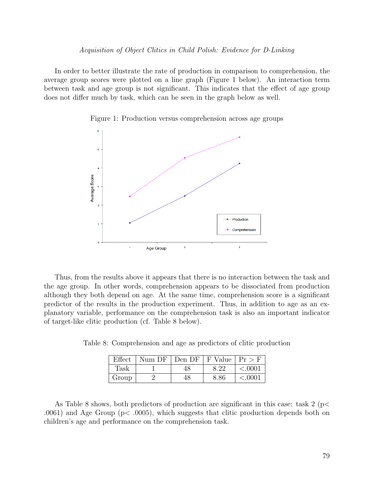In order to better illustrate the rate of production in comparison to comprehension, the average group scores were plotted on a line graph (Figure 1 below). An interaction term between task and age group is not significant. This indicates that the effect of age group does not differ much by task, which can be seen in the graph below as well.



Figure 1: Production versus comprehension across age groups

Thus, from the results above it appears that there is no interaction between the task and the age group. In other words, comprehension appears to be dissociated from production although they both depend on age. At the same time, comprehension score is a significant predictor of the results in the production experiment. Thus, in addition to age as an explanatory variable, performance on the comprehension task is also an important indicator of target-like clitic production (cf. Table 8 below).

Table 8: Comprehension and age as predictors of clitic production

| Effect | Num DF   Den DF   F Value   $Pr > F$ |      |         |
|--------|--------------------------------------|------|---------|
| Task   |                                      | 8.22 | < .0001 |
| Group  | 48                                   | 8.86 | < .0001 |

As Table 8 shows, both predictors of production are significant in this case: task  $2 \frac{p}{\epsilon}$ .0061) and Age Group ( $p<$  .0005), which suggests that clitic production depends both on children's age and performance on the comprehension task.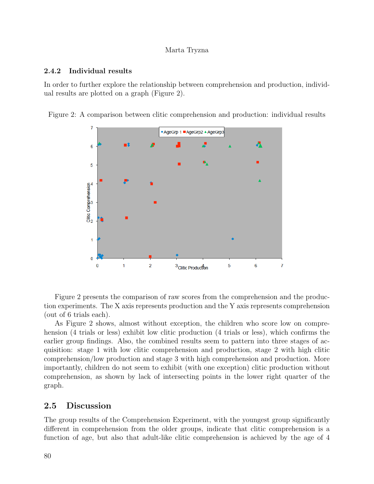## 2.4.2 Individual results

In order to further explore the relationship between comprehension and production, individual results are plotted on a graph (Figure 2).

Figure 2: A comparison between clitic comprehension and production: individual results



Figure 2 presents the comparison of raw scores from the comprehension and the production experiments. The X axis represents production and the Y axis represents comprehension (out of 6 trials each).

As Figure 2 shows, almost without exception, the children who score low on comprehension (4 trials or less) exhibit low clitic production (4 trials or less), which confirms the earlier group findings. Also, the combined results seem to pattern into three stages of acquisition: stage 1 with low clitic comprehension and production, stage 2 with high clitic comprehension/low production and stage 3 with high comprehension and production. More importantly, children do not seem to exhibit (with one exception) clitic production without comprehension, as shown by lack of intersecting points in the lower right quarter of the graph.

## 2.5 Discussion

The group results of the Comprehension Experiment, with the youngest group significantly different in comprehension from the older groups, indicate that clitic comprehension is a function of age, but also that adult-like clitic comprehension is achieved by the age of 4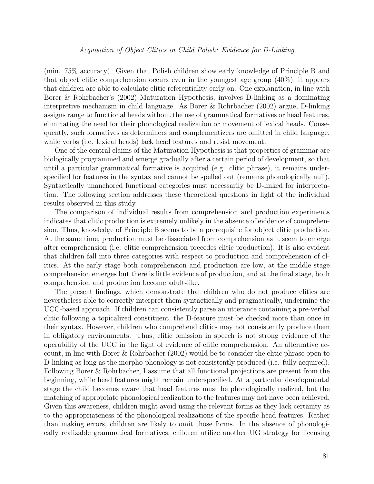(min. 75% accuracy). Given that Polish children show early knowledge of Principle B and that object clitic comprehension occurs even in the youngest age group  $(40\%)$ , it appears that children are able to calculate clitic referentiality early on. One explanation, in line with Borer & Rohrbacher's (2002) Maturation Hypothesis, involves D-linking as a dominating interpretive mechanism in child language. As Borer & Rohrbacher (2002) argue, D-linking assigns range to functional heads without the use of grammatical formatives or head features, eliminating the need for their phonological realization or movement of lexical heads. Consequently, such formatives as determiners and complementizers are omitted in child language, while verbs (i.e. lexical heads) lack head features and resist movement.

One of the central claims of the Maturation Hypothesis is that properties of grammar are biologically programmed and emerge gradually after a certain period of development, so that until a particular grammatical formative is acquired (e.g. clitic phrase), it remains underspecified for features in the syntax and cannot be spelled out (remains phonologically null). Syntactically unanchored functional categories must necessarily be D-linked for interpretation. The following section addresses these theoretical questions in light of the individual results observed in this study.

The comparison of individual results from comprehension and production experiments indicates that clitic production is extremely unlikely in the absence of evidence of comprehension. Thus, knowledge of Principle B seems to be a prerequisite for object clitic production. At the same time, production must be dissociated from comprehension as it seem to emerge after comprehension (i.e. clitic comprehension precedes clitic production). It is also evident that children fall into three categories with respect to production and comprehension of clitics. At the early stage both comprehension and production are low, at the middle stage comprehension emerges but there is little evidence of production, and at the final stage, both comprehension and production become adult-like.

The present findings, which demonstrate that children who do not produce clitics are nevertheless able to correctly interpret them syntactically and pragmatically, undermine the UCC-based approach. If children can consistently parse an utterance containing a pre-verbal clitic following a topicalized constituent, the D-feature must be checked more than once in their syntax. However, children who comprehend clitics may not consistently produce them in obligatory environments. Thus, clitic omission in speech is not strong evidence of the operability of the UCC in the light of evidence of clitic comprehension. An alternative account, in line with Borer & Rohrbacher (2002) would be to consider the clitic phrase open to D-linking as long as the morpho-phonology is not consistently produced (i.e. fully acquired). Following Borer & Rohrbacher, I assume that all functional projections are present from the beginning, while head features might remain underspecified. At a particular developmental stage the child becomes aware that head features must be phonologically realized, but the matching of appropriate phonological realization to the features may not have been achieved. Given this awareness, children might avoid using the relevant forms as they lack certainty as to the appropriateness of the phonological realizations of the specific head features. Rather than making errors, children are likely to omit those forms. In the absence of phonologically realizable grammatical formatives, children utilize another UG strategy for licensing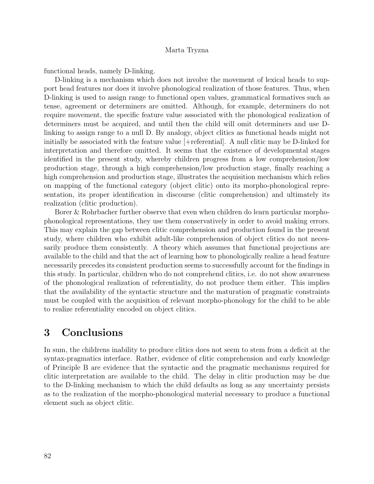functional heads, namely D-linking.

D-linking is a mechanism which does not involve the movement of lexical heads to support head features nor does it involve phonological realization of those features. Thus, when D-linking is used to assign range to functional open values, grammatical formatives such as tense, agreement or determiners are omitted. Although, for example, determiners do not require movement, the specific feature value associated with the phonological realization of determiners must be acquired, and until then the child will omit determiners and use Dlinking to assign range to a null D. By analogy, object clitics as functional heads might not initially be associated with the feature value [+referential]. A null clitic may be D-linked for interpretation and therefore omitted. It seems that the existence of developmental stages identified in the present study, whereby children progress from a low comprehension/low production stage, through a high comprehension/low production stage, finally reaching a high comprehension and production stage, illustrates the acquisition mechanism which relies on mapping of the functional category (object clitic) onto its morpho-phonological representation, its proper identification in discourse (clitic comprehension) and ultimately its realization (clitic production).

Borer & Rohrbacher further observe that even when children do learn particular morphophonological representations, they use them conservatively in order to avoid making errors. This may explain the gap between clitic comprehension and production found in the present study, where children who exhibit adult-like comprehension of object clitics do not necessarily produce them consistently. A theory which assumes that functional projections are available to the child and that the act of learning how to phonologically realize a head feature necessarily precedes its consistent production seems to successfully account for the findings in this study. In particular, children who do not comprehend clitics, i.e. do not show awareness of the phonological realization of referentiality, do not produce them either. This implies that the availability of the syntactic structure and the maturation of pragmatic constraints must be coupled with the acquisition of relevant morpho-phonology for the child to be able to realize referentiality encoded on object clitics.

## 3 Conclusions

In sum, the childrens inability to produce clitics does not seem to stem from a deficit at the syntax-pragmatics interface. Rather, evidence of clitic comprehension and early knowledge of Principle B are evidence that the syntactic and the pragmatic mechanisms required for clitic interpretation are available to the child. The delay in clitic production may be due to the D-linking mechanism to which the child defaults as long as any uncertainty persists as to the realization of the morpho-phonological material necessary to produce a functional element such as object clitic.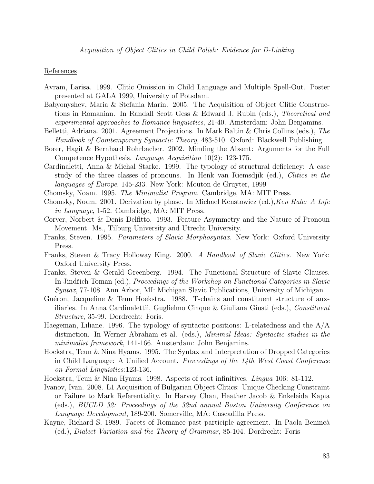#### References

- Avram, Larisa. 1999. Clitic Omission in Child Language and Multiple Spell-Out. Poster presented at GALA 1999, University of Potsdam.
- Babyonyshev, Maria & Stefania Marin. 2005. The Acquisition of Object Clitic Constructions in Romanian. In Randall Scott Gess & Edward J. Rubin (eds.), Theoretical and experimental approaches to Romance linguistics, 21-40. Amsterdam: John Benjamins.
- Belletti, Adriana. 2001. Agreement Projections. In Mark Baltin & Chris Collins (eds.), The Handbook of Comtemporary Syntactic Theory, 483-510. Oxford: Blackwell Publishing.
- Borer, Hagit & Bernhard Rohrbacher. 2002. Minding the Absent: Arguments for the Full Competence Hypothesis. *Language Acquisition* 10(2): 123-175.
- Cardinaletti, Anna & Michal Starke. 1999. The typology of structural deficiency: A case study of the three classes of pronouns. In Henk van Riemsdjik (ed.), Clitics in the languages of Europe, 145-233. New York: Mouton de Gruyter, 1999
- Chomsky, Noam. 1995. The Minimalist Program. Cambridge, MA: MIT Press.
- Chomsky, Noam. 2001. Derivation by phase. In Michael Kenstowicz (ed.), Ken Hale: A Life in Language, 1-52. Cambridge, MA: MIT Press.
- Corver, Norbert & Denis Delfitto. 1993. Feature Asymmetry and the Nature of Pronoun Movement. Ms., Tilburg University and Utrecht University.
- Franks, Steven. 1995. Parameters of Slavic Morphosyntax. New York: Oxford University Press.
- Franks, Steven & Tracy Holloway King. 2000. A Handbook of Slavic Clitics. New York: Oxford University Press.
- Franks, Steven & Gerald Greenberg. 1994. The Functional Structure of Slavic Clauses. In Jindřich Toman (ed.), Proceedings of the Workshop on Functional Categories in Slavic Syntax, 77-108. Ann Arbor, MI: Michigan Slavic Publications, University of Michigan.
- Guéron, Jacqueline & Teun Hoekstra.  $1988$ . T-chains and constituent structure of auxiliaries. In Anna Cardinalettii, Guglielmo Cinque & Giuliana Giusti (eds.), Constituent Structure, 35-99. Dordrecht: Foris.
- Haegeman, Liliane. 1996. The typology of syntactic positions: L-relatedness and the A/A distinction. In Werner Abraham et al. (eds.), Minimal Ideas: Syntactic studies in the minimalist framework, 141-166. Amsterdam: John Benjamins.
- Hoekstra, Teun & Nina Hyams. 1995. The Syntax and Interpretation of Dropped Categories in Child Language: A Unified Account. *Proceedings of the 14th West Coast Conference* on Formal Linguistics:123-136.
- Hoekstra, Teun & Nina Hyams. 1998. Aspects of root infinitives. Lingua 106: 81-112.
- Ivanov, Ivan. 2008. L1 Acquisition of Bulgarian Object Clitics: Unique Checking Constraint or Failure to Mark Referentiality. In Harvey Chan, Heather Jacob & Enkeleida Kapia (eds.), BUCLD 32: Proceedings of the 32nd annual Boston University Conference on Language Development, 189-200. Somerville, MA: Cascadilla Press.
- Kayne, Richard S. 1989. Facets of Romance past participle agreement. In Paola Benincà (ed.), Dialect Variation and the Theory of Grammar, 85-104. Dordrecht: Foris